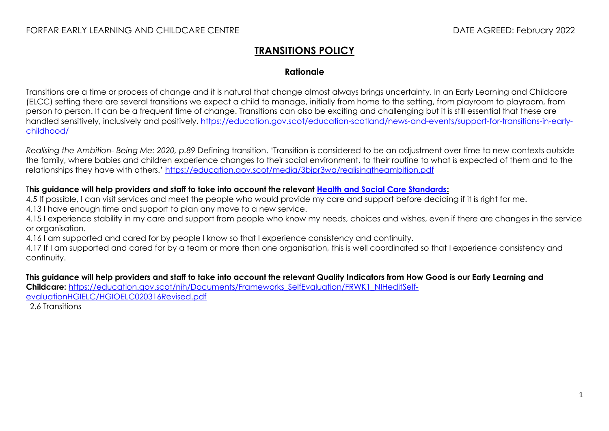## **TRANSITIONS POLICY**

## **Rationale**

Transitions are a time or process of change and it is natural that change almost always brings uncertainty. In an Early Learning and Childcare (ELCC) setting there are several transitions we expect a child to manage, initially from home to the setting, from playroom to playroom, from person to person. It can be a frequent time of change. Transitions can also be exciting and challenging but it is still essential that these are handled sensitively, inclusively and positively. [https://education.gov.scot/education-scotland/news-and-events/support-for-transitions-in-early](https://education.gov.scot/education-scotland/news-and-events/support-for-transitions-in-early-childhood/)[childhood/](https://education.gov.scot/education-scotland/news-and-events/support-for-transitions-in-early-childhood/)

*Realising the Ambition- Being Me: 2020, p.89* Defining transition. 'Transition is considered to be an adjustment over time to new contexts outside the family, where babies and children experience changes to their social environment, to their routine to what is expected of them and to the relationships they have with others.' <https://education.gov.scot/media/3bjpr3wa/realisingtheambition.pdf>

## T**his guidance will help providers and staff to take into account the relevant [Health and Social Care Standards:](https://www.gov.scot/binaries/content/documents/govscot/publications/advice-and-guidance/2017/06/health-social-care-standards-support-life/documents/00520693-pdf/00520693-pdf/govscot%3Adocument/00520693.pdf)**

4.5 If possible, I can visit services and meet the people who would provide my care and support before deciding if it is right for me. 4.13 I have enough time and support to plan any move to a new service.

4.15 I experience stability in my care and support from people who know my needs, choices and wishes, even if there are changes in the service or organisation.

4.16 I am supported and cared for by people I know so that I experience consistency and continuity.

4.17 If I am supported and cared for by a team or more than one organisation, this is well coordinated so that I experience consistency and continuity.

**This guidance will help providers and staff to take into account the relevant Quality Indicators from How Good is our Early Learning and Childcare:** [https://education.gov.scot/nih/Documents/Frameworks\\_SelfEvaluation/FRWK1\\_NIHeditSelf](https://education.gov.scot/nih/Documents/Frameworks_SelfEvaluation/FRWK1_NIHeditSelf-evaluationHGIELC/HGIOELC020316Revised.pdf)[evaluationHGIELC/HGIOELC020316Revised.pdf](https://education.gov.scot/nih/Documents/Frameworks_SelfEvaluation/FRWK1_NIHeditSelf-evaluationHGIELC/HGIOELC020316Revised.pdf)

2.6 Transitions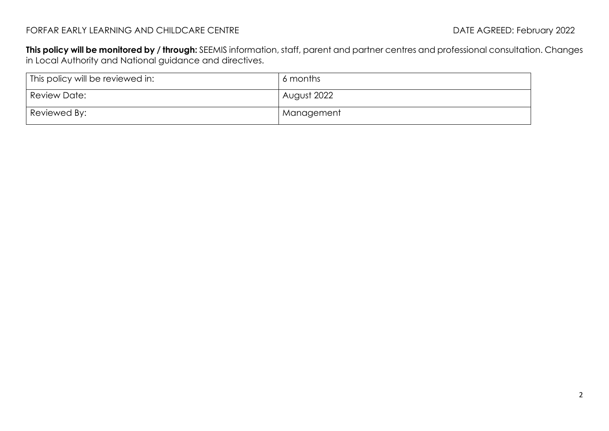**This policy will be monitored by / through:** SEEMIS information, staff, parent and partner centres and professional consultation. Changes in Local Authority and National guidance and directives.

| This policy will be reviewed in: | 6 months    |
|----------------------------------|-------------|
| Review Date:                     | August 2022 |
| Reviewed By:                     | Management  |